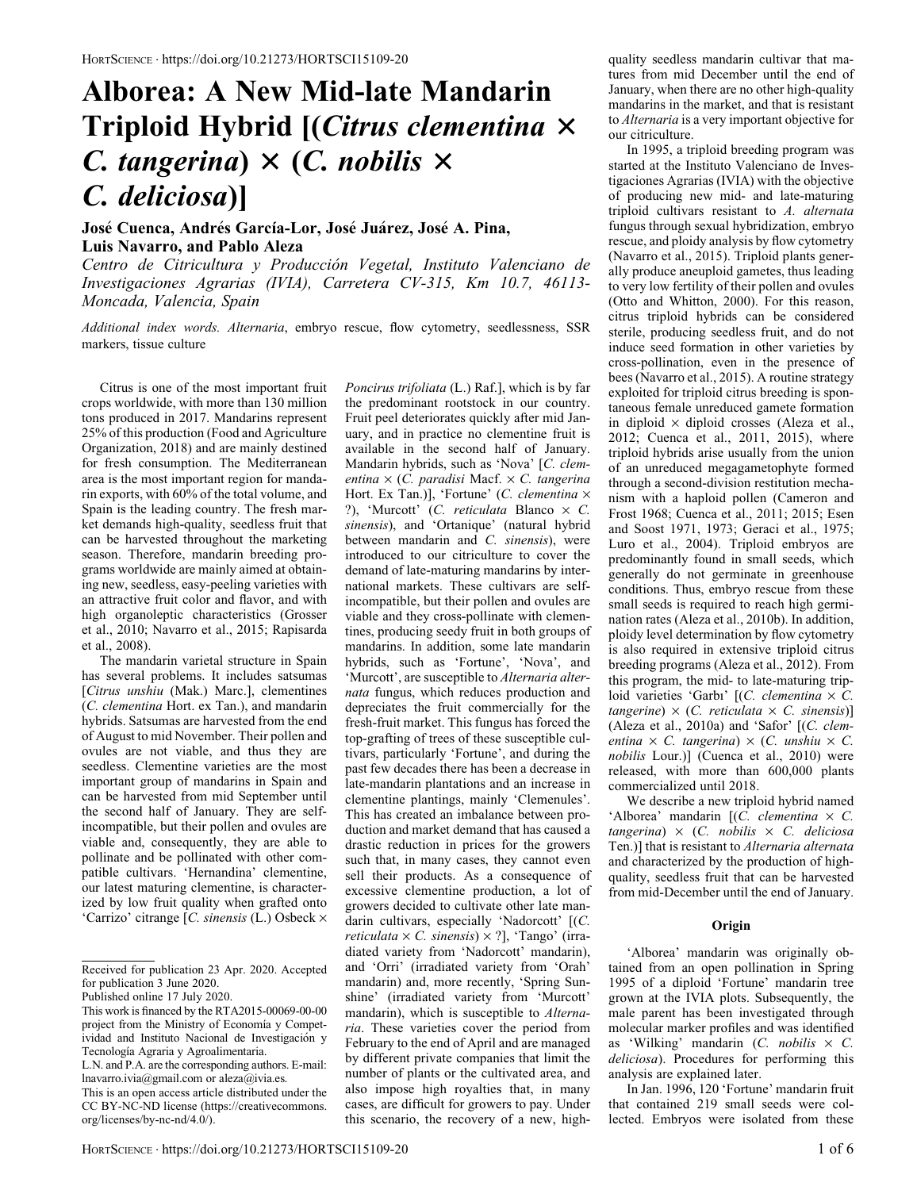# Alborea: A New Mid-late Mandarin Triploid Hybrid  $[ (Citrus \; {\it elementina} \; \times$ C. tangerina)  $\times$  (C. nobilis  $\times$ C. deliciosa)]

Jose Cuenca, Andres García-Lor, Jose Juarez, Jose A. Pina, Luis Navarro, and Pablo Aleza

Centro de Citricultura y Produccion Vegetal, Instituto Valenciano de Investigaciones Agrarias (IVIA), Carretera CV-315, Km 10.7, 46113- Moncada, Valencia, Spain

Additional index words. Alternaria, embryo rescue, flow cytometry, seedlessness, SSR markers, tissue culture

Citrus is one of the most important fruit crops worldwide, with more than 130 million tons produced in 2017. Mandarins represent 25% of this production (Food and Agriculture Organization, 2018) and are mainly destined for fresh consumption. The Mediterranean area is the most important region for mandarin exports, with 60% of the total volume, and Spain is the leading country. The fresh market demands high-quality, seedless fruit that can be harvested throughout the marketing season. Therefore, mandarin breeding programs worldwide are mainly aimed at obtaining new, seedless, easy-peeling varieties with an attractive fruit color and flavor, and with high organoleptic characteristics (Grosser et al., 2010; Navarro et al., 2015; Rapisarda et al., 2008).

The mandarin varietal structure in Spain has several problems. It includes satsumas [Citrus unshiu (Mak.) Marc.], clementines (C. clementina Hort. ex Tan.), and mandarin hybrids. Satsumas are harvested from the end of August to mid November. Their pollen and ovules are not viable, and thus they are seedless. Clementine varieties are the most important group of mandarins in Spain and can be harvested from mid September until the second half of January. They are selfincompatible, but their pollen and ovules are viable and, consequently, they are able to pollinate and be pollinated with other compatible cultivars. 'Hernandina' clementine, our latest maturing clementine, is characterized by low fruit quality when grafted onto 'Carrizo' citrange [C. sinensis (L.) Osbeck  $\times$  Fruit peel deteriorates quickly after mid January, and in practice no clementine fruit is available in the second half of January. Mandarin hybrids, such as 'Nova' [C. clementina  $\times$  (C. paradisi Macf.  $\times$  C. tangerina Hort. Ex Tan.)], 'Fortune' (C. clementina  $\times$ ?), 'Murcott' (C. reticulata Blanco  $\times$  C. sinensis), and 'Ortanique' (natural hybrid between mandarin and C. sinensis), were introduced to our citriculture to cover the demand of late-maturing mandarins by international markets. These cultivars are selfincompatible, but their pollen and ovules are viable and they cross-pollinate with clementines, producing seedy fruit in both groups of mandarins. In addition, some late mandarin hybrids, such as 'Fortune', 'Nova', and 'Murcott', are susceptible to Alternaria alternata fungus, which reduces production and depreciates the fruit commercially for the fresh-fruit market. This fungus has forced the top-grafting of trees of these susceptible cultivars, particularly 'Fortune', and during the past few decades there has been a decrease in late-mandarin plantations and an increase in clementine plantings, mainly 'Clemenules'. This has created an imbalance between production and market demand that has caused a drastic reduction in prices for the growers such that, in many cases, they cannot even sell their products. As a consequence of excessive clementine production, a lot of growers decided to cultivate other late mandarin cultivars, especially 'Nadorcott' [(C. reticulata  $\times$  C. sinensis)  $\times$  ?], 'Tango' (irradiated variety from 'Nadorcott' mandarin), and 'Orri' (irradiated variety from 'Orah' mandarin) and, more recently, 'Spring Sunshine' (irradiated variety from 'Murcott' mandarin), which is susceptible to Alternaria. These varieties cover the period from February to the end of April and are managed by different private companies that limit the number of plants or the cultivated area, and also impose high royalties that, in many cases, are difficult for growers to pay. Under this scenario, the recovery of a new, high-

Poncirus trifoliata (L.) Raf.], which is by far the predominant rootstock in our country. quality seedless mandarin cultivar that matures from mid December until the end of January, when there are no other high-quality mandarins in the market, and that is resistant to Alternaria is a very important objective for our citriculture.

In 1995, a triploid breeding program was started at the Instituto Valenciano de Investigaciones Agrarias (IVIA) with the objective of producing new mid- and late-maturing triploid cultivars resistant to A. alternata fungus through sexual hybridization, embryo rescue, and ploidy analysis by flow cytometry (Navarro et al., 2015). Triploid plants generally produce aneuploid gametes, thus leading to very low fertility of their pollen and ovules (Otto and Whitton, 2000). For this reason, citrus triploid hybrids can be considered sterile, producing seedless fruit, and do not induce seed formation in other varieties by cross-pollination, even in the presence of bees (Navarro et al., 2015). A routine strategy exploited for triploid citrus breeding is spontaneous female unreduced gamete formation in diploid  $\times$  diploid crosses (Aleza et al., 2012; Cuenca et al., 2011, 2015), where triploid hybrids arise usually from the union of an unreduced megagametophyte formed through a second-division restitution mechanism with a haploid pollen (Cameron and Frost 1968; Cuenca et al., 2011; 2015; Esen and Soost 1971, 1973; Geraci et al., 1975; Luro et al., 2004). Triploid embryos are predominantly found in small seeds, which generally do not germinate in greenhouse conditions. Thus, embryo rescue from these small seeds is required to reach high germination rates (Aleza et al., 2010b). In addition, ploidy level determination by flow cytometry is also required in extensive triploid citrus breeding programs (Aleza et al., 2012). From this program, the mid- to late-maturing triploid varieties 'Garbı' [(C. clementina  $\times$  C.  $tangerine) \times (C. reticulata \times C. sinensis)$ (Aleza et al., 2010a) and 'Safor' [(C. clementina  $\times$  C. tangerina)  $\times$  (C. unshiu  $\times$  C. nobilis Lour.)] (Cuenca et al., 2010) were released, with more than 600,000 plants commercialized until 2018.

We describe a new triploid hybrid named 'Alborea' mandarin  $[(C.$  *clementina*  $\times$  C.  $tangent$   $\times$  (C. nobilis  $\times$  C. deliciosa Ten.)] that is resistant to Alternaria alternata and characterized by the production of highquality, seedless fruit that can be harvested from mid-December until the end of January.

## **Origin**

'Alborea' mandarin was originally obtained from an open pollination in Spring 1995 of a diploid 'Fortune' mandarin tree grown at the IVIA plots. Subsequently, the male parent has been investigated through molecular marker profiles and was identified as 'Wilking' mandarin  $(C. \n $n \cdot \text{obilis} \times C$ .$ deliciosa). Procedures for performing this analysis are explained later.

In Jan. 1996, 120 'Fortune' mandarin fruit that contained 219 small seeds were collected. Embryos were isolated from these

Received for publication 23 Apr. 2020. Accepted for publication 3 June 2020.

Published online 17 July 2020.

This work is financed by the RTA2015-00069-00-00 project from the Ministry of Economía y Competividad and Instituto Nacional de Investigación y Tecnología Agraria y Agroalimentaria.

L.N. and P.A. are the corresponding authors. E-mail: [lnavarro.ivia@gmail.com](mailto:lnavarro.ivia@gmail.com) or [aleza@ivia.es](mailto:aleza@ivia.es).

This is an open access article distributed under the CC BY-NC-ND license (https://creativecommons. org/licenses/by-nc-nd/4.0/).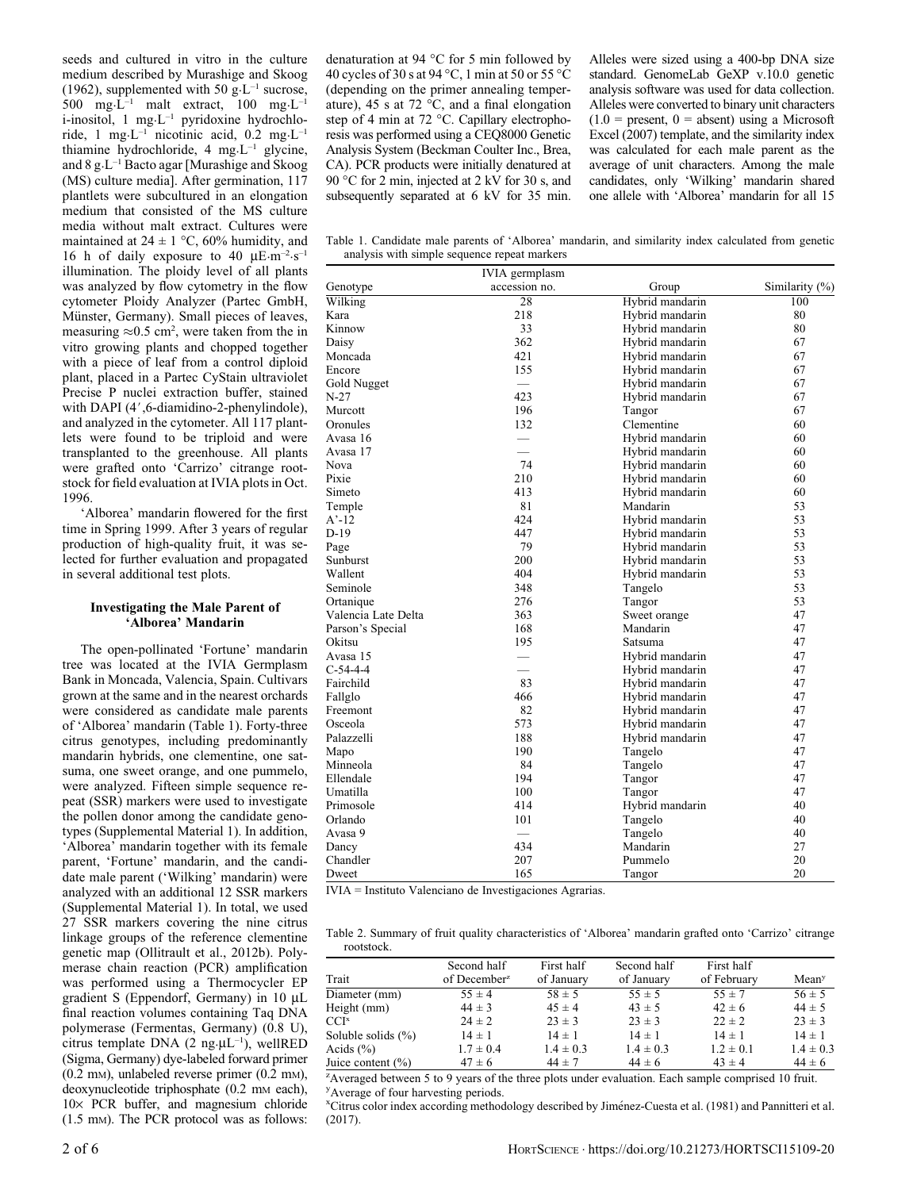seeds and cultured in vitro in the culture medium described by Murashige and Skoog (1962), supplemented with 50 g·L<sup>-1</sup> sucrose, 500 mg·L<sup>-1</sup> malt extract, 100 mg·L<sup>-1</sup> i-inositol, 1 mg·L–1 pyridoxine hydrochloride, 1 mg·L<sup>-1</sup> nicotinic acid, 0.2 mg·L<sup>-1</sup> thiamine hydrochloride, 4 mg·L–1 glycine, and 8 g·L–1 Bacto agar [Murashige and Skoog (MS) culture media]. After germination, 117 plantlets were subcultured in an elongation medium that consisted of the MS culture media without malt extract. Cultures were maintained at  $24 \pm 1$  °C, 60% humidity, and 16 h of daily exposure to 40  $\mu$ E·m<sup>-2</sup>·s<sup>-1</sup> illumination. The ploidy level of all plants was analyzed by flow cytometry in the flow cytometer Ploidy Analyzer (Partec GmbH, Münster, Germany). Small pieces of leaves, measuring  $\approx 0.5$  cm<sup>2</sup>, were taken from the in vitro growing plants and chopped together with a piece of leaf from a control diploid plant, placed in a Partec CyStain ultraviolet Precise P nuclei extraction buffer, stained with DAPI  $(4', 6$ -diamidino-2-phenylindole), and analyzed in the cytometer. All 117 plantlets were found to be triploid and were transplanted to the greenhouse. All plants were grafted onto 'Carrizo' citrange rootstock for field evaluation at IVIA plots in Oct. 1996.

'Alborea' mandarin flowered for the first time in Spring 1999. After 3 years of regular production of high-quality fruit, it was selected for further evaluation and propagated in several additional test plots.

## Investigating the Male Parent of 'Alborea' Mandarin

The open-pollinated 'Fortune' mandarin tree was located at the IVIA Germplasm Bank in Moncada, Valencia, Spain. Cultivars grown at the same and in the nearest orchards were considered as candidate male parents of 'Alborea' mandarin (Table 1). Forty-three citrus genotypes, including predominantly mandarin hybrids, one clementine, one satsuma, one sweet orange, and one pummelo, were analyzed. Fifteen simple sequence repeat (SSR) markers were used to investigate the pollen donor among the candidate genotypes (Supplemental Material 1). In addition, 'Alborea' mandarin together with its female parent, 'Fortune' mandarin, and the candidate male parent ('Wilking' mandarin) were analyzed with an additional 12 SSR markers (Supplemental Material 1). In total, we used 27 SSR markers covering the nine citrus linkage groups of the reference clementine genetic map (Ollitrault et al., 2012b). Polymerase chain reaction (PCR) amplification was performed using a Thermocycler EP gradient S (Eppendorf, Germany) in 10 mL final reaction volumes containing Taq DNA polymerase (Fermentas, Germany) (0.8 U), citrus template DNA (2 ng· $\mu L^{-1}$ ), wellRED (Sigma, Germany) dye-labeled forward primer (0.2 mM), unlabeled reverse primer (0.2 mM), deoxynucleotide triphosphate (0.2 mm each), 10× PCR buffer, and magnesium chloride (1.5 mM). The PCR protocol was as follows:

denaturation at 94  $\degree$ C for 5 min followed by 40 cycles of 30 s at 94 °C, 1 min at 50 or 55 °C (depending on the primer annealing temperature), 45 s at 72  $\degree$ C, and a final elongation step of 4 min at 72 °C. Capillary electrophoresis was performed using a CEQ8000 Genetic Analysis System (Beckman Coulter Inc., Brea, CA). PCR products were initially denatured at 90 °C for 2 min, injected at 2 kV for 30 s, and subsequently separated at 6 kV for 35 min. Alleles were sized using a 400-bp DNA size standard. GenomeLab GeXP v.10.0 genetic analysis software was used for data collection. Alleles were converted to binary unit characters  $(1.0 =$  present,  $0 =$  absent) using a Microsoft Excel (2007) template, and the similarity index was calculated for each male parent as the average of unit characters. Among the male candidates, only 'Wilking' mandarin shared one allele with 'Alborea' mandarin for all 15

Table 1. Candidate male parents of 'Alborea' mandarin, and similarity index calculated from genetic analysis with simple sequence repeat markers

|                     | IVIA germplasm           |                 |                |
|---------------------|--------------------------|-----------------|----------------|
| Genotype            | accession no.            | Group           | Similarity (%) |
| Wilking             | 28                       | Hybrid mandarin | 100            |
| Kara                | 218                      | Hybrid mandarin | 80             |
| Kinnow              | 33                       | Hybrid mandarin | 80             |
| Daisy               | 362                      | Hybrid mandarin | 67             |
| Moncada             | 421                      | Hybrid mandarin | 67             |
| Encore              | 155                      | Hybrid mandarin | 67             |
| Gold Nugget         |                          | Hybrid mandarin | 67             |
| N-27                | 423                      | Hybrid mandarin | 67             |
| Murcott             | 196                      | Tangor          | 67             |
| Oronules            | 132                      | Clementine      | 60             |
| Avasa 16            | $\overline{\phantom{0}}$ | Hybrid mandarin | 60             |
| Avasa 17            |                          | Hybrid mandarin | 60             |
| Nova                | 74                       | Hybrid mandarin | 60             |
| Pixie               | 210                      | Hybrid mandarin | 60             |
| Simeto              | 413                      | Hybrid mandarin | 60             |
| Temple              | 81                       | Mandarin        | 53             |
| $A'-12$             | 424                      | Hybrid mandarin | 53             |
| D-19                | 447                      | Hybrid mandarin | 53             |
| Page                | 79                       | Hybrid mandarin | 53             |
| Sunburst            | 200                      | Hybrid mandarin | 53             |
| Wallent             | 404                      | Hybrid mandarin | 53             |
| Seminole            | 348                      | Tangelo         | 53             |
| Ortanique           | 276                      | Tangor          | 53             |
| Valencia Late Delta | 363                      | Sweet orange    | 47             |
| Parson's Special    | 168                      | Mandarin        | 47             |
| Okitsu              | 195                      | Satsuma         | 47             |
| Avasa 15            | $\qquad \qquad$          | Hybrid mandarin | 47             |
| $C-54-4-4$          |                          | Hybrid mandarin | 47             |
| Fairchild           | 83                       | Hybrid mandarin | 47             |
| Fallglo             | 466                      | Hybrid mandarin | 47             |
| Freemont            | 82                       | Hybrid mandarin | 47             |
| Osceola             | 573                      | Hybrid mandarin | 47             |
| Palazzelli          | 188                      | Hybrid mandarin | 47             |
| Mapo                | 190                      | Tangelo         | 47             |
| Minneola            | 84                       | Tangelo         | 47             |
| Ellendale           | 194                      | Tangor          | 47             |
| Umatilla            | 100                      | Tangor          | 47             |
| Primosole           | 414                      | Hybrid mandarin | 40             |
| Orlando             | 101                      | Tangelo         | 40             |
| Avasa 9             |                          | Tangelo         | 40             |
| Dancy               | 434                      | Mandarin        | 27             |
| Chandler            | 207                      | Pummelo         | 20             |
| Dweet               | 165                      | Tangor          | 20             |

IVIA = Instituto Valenciano de Investigaciones Agrarias.

Table 2. Summary of fruit quality characteristics of 'Alborea' mandarin grafted onto 'Carrizo' citrange rootstock.

|                    | Second half              | First half    | Second half   | First half    |                   |
|--------------------|--------------------------|---------------|---------------|---------------|-------------------|
| Trait              | of December <sup>2</sup> | of January    | of January    | of February   | Mean <sup>y</sup> |
| Diameter (mm)      | $55 \pm 4$               | $58 \pm 5$    | $55 \pm 5$    | $55 \pm 7$    | $56 \pm 5$        |
| Height (mm)        | $44 \pm 3$               | $45 \pm 4$    | $43 \pm 5$    | $42 \pm 6$    | $44 \pm 5$        |
| CCI×               | $24 \pm 2$               | $23 \pm 3$    | $23 \pm 3$    | $22 \pm 2$    | $23 \pm 3$        |
| Soluble solids (%) | $14 \pm 1$               | $14 \pm 1$    | $14 \pm 1$    | $14 \pm 1$    | $14 \pm 1$        |
| Acids $(\% )$      | $1.7 \pm 0.4$            | $1.4 \pm 0.3$ | $1.4 \pm 0.3$ | $1.2 \pm 0.1$ | $1.4 \pm 0.3$     |
| Juice content (%)  | $47 \pm 6$               | $44 \pm 7$    | $44 \pm 6$    | $43 \pm 4$    | $44 \pm 6$        |
|                    |                          |               |               |               |                   |

<sup>z</sup> Averaged between 5 to 9 years of the three plots under evaluation. Each sample comprised 10 fruit. <sup>y</sup>Average of four harvesting periods.

<sup>x</sup>Citrus color index according methodology described by Jiménez-Cuesta et al. (1981) and Pannitteri et al. (2017).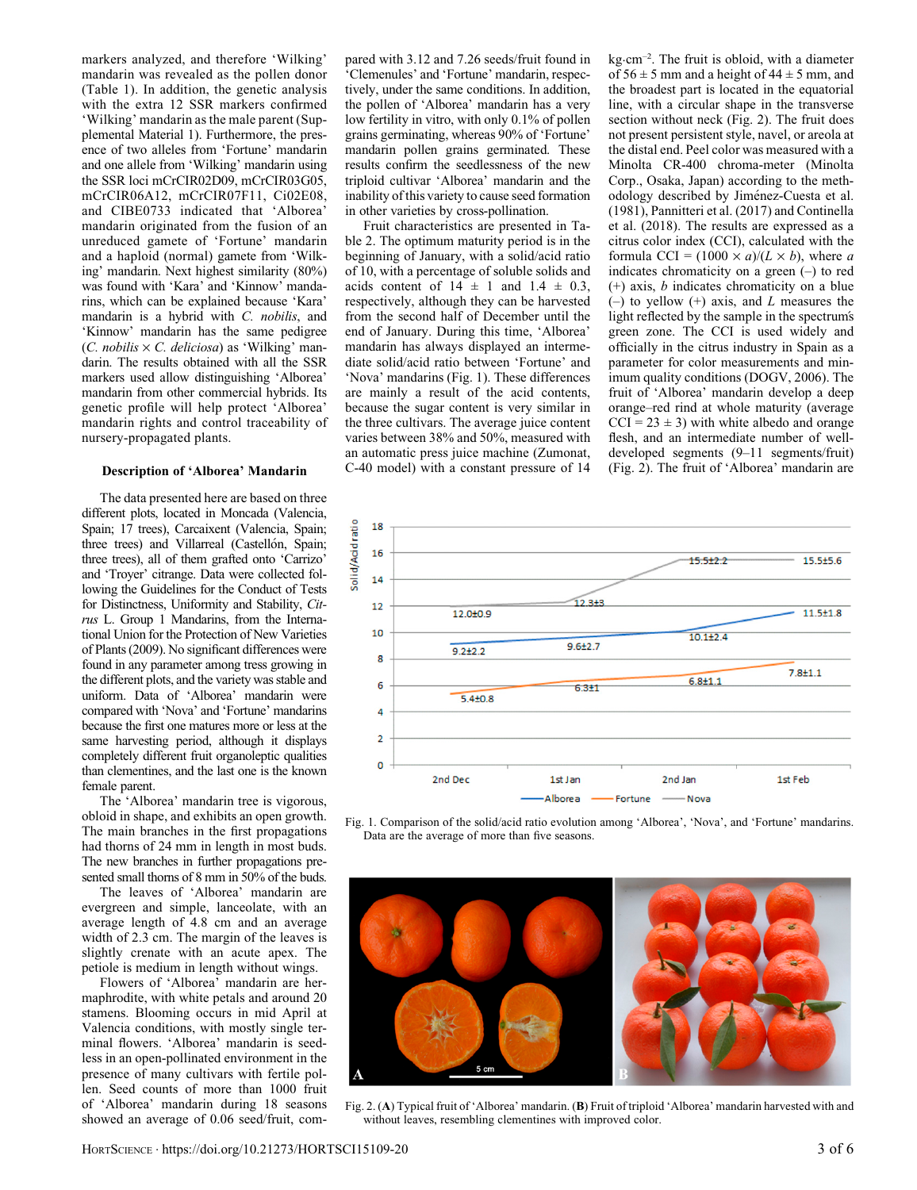markers analyzed, and therefore 'Wilking' mandarin was revealed as the pollen donor (Table 1). In addition, the genetic analysis with the extra 12 SSR markers confirmed 'Wilking' mandarin as the male parent (Supplemental Material 1). Furthermore, the presence of two alleles from 'Fortune' mandarin and one allele from 'Wilking' mandarin using the SSR loci mCrCIR02D09, mCrCIR03G05, mCrCIR06A12, mCrCIR07F11, Ci02E08, and CIBE0733 indicated that 'Alborea' mandarin originated from the fusion of an unreduced gamete of 'Fortune' mandarin and a haploid (normal) gamete from 'Wilking' mandarin. Next highest similarity (80%) was found with 'Kara' and 'Kinnow' mandarins, which can be explained because 'Kara' mandarin is a hybrid with C. nobilis, and 'Kinnow' mandarin has the same pedigree  $(C. nobilis \times C.$  deliciosa) as 'Wilking' mandarin. The results obtained with all the SSR markers used allow distinguishing 'Alborea' mandarin from other commercial hybrids. Its genetic profile will help protect 'Alborea' mandarin rights and control traceability of nursery-propagated plants.

#### Description of 'Alborea' Mandarin

The data presented here are based on three different plots, located in Moncada (Valencia, Spain; 17 trees), Carcaixent (Valencia, Spain; three trees) and Villarreal (Castellón, Spain; three trees), all of them grafted onto 'Carrizo' and 'Troyer' citrange. Data were collected following the Guidelines for the Conduct of Tests for Distinctness, Uniformity and Stability, Citrus L. Group 1 Mandarins, from the International Union for the Protection of New Varieties of Plants (2009). No significant differences were found in any parameter among tress growing in the different plots, and the variety was stable and uniform. Data of 'Alborea' mandarin were compared with 'Nova' and 'Fortune' mandarins because the first one matures more or less at the same harvesting period, although it displays completely different fruit organoleptic qualities than clementines, and the last one is the known female parent.

The 'Alborea' mandarin tree is vigorous, obloid in shape, and exhibits an open growth. The main branches in the first propagations had thorns of 24 mm in length in most buds. The new branches in further propagations presented small thorns of 8 mm in 50% of the buds.

The leaves of 'Alborea' mandarin are evergreen and simple, lanceolate, with an average length of 4.8 cm and an average width of 2.3 cm. The margin of the leaves is slightly crenate with an acute apex. The petiole is medium in length without wings.

Flowers of 'Alborea' mandarin are hermaphrodite, with white petals and around 20 stamens. Blooming occurs in mid April at Valencia conditions, with mostly single terminal flowers. 'Alborea' mandarin is seedless in an open-pollinated environment in the presence of many cultivars with fertile pollen. Seed counts of more than 1000 fruit of 'Alborea' mandarin during 18 seasons showed an average of 0.06 seed/fruit, compared with 3.12 and 7.26 seeds/fruit found in 'Clemenules' and 'Fortune' mandarin, respectively, under the same conditions. In addition, the pollen of 'Alborea' mandarin has a very low fertility in vitro, with only 0.1% of pollen grains germinating, whereas 90% of 'Fortune' mandarin pollen grains germinated. These results confirm the seedlessness of the new triploid cultivar 'Alborea' mandarin and the inability of this variety to cause seed formation in other varieties by cross-pollination.

Fruit characteristics are presented in Table 2. The optimum maturity period is in the beginning of January, with a solid/acid ratio of 10, with a percentage of soluble solids and acids content of  $14 \pm 1$  and  $1.4 \pm 0.3$ , respectively, although they can be harvested from the second half of December until the end of January. During this time, 'Alborea' mandarin has always displayed an intermediate solid/acid ratio between 'Fortune' and 'Nova' mandarins (Fig. 1). These differences are mainly a result of the acid contents, because the sugar content is very similar in the three cultivars. The average juice content varies between 38% and 50%, measured with an automatic press juice machine (Zumonat, C-40 model) with a constant pressure of 14

kg·cm–2. The fruit is obloid, with a diameter of  $56 \pm 5$  mm and a height of  $44 \pm 5$  mm, and the broadest part is located in the equatorial line, with a circular shape in the transverse section without neck (Fig. 2). The fruit does not present persistent style, navel, or areola at the distal end. Peel color was measured with a Minolta CR-400 chroma-meter (Minolta Corp., Osaka, Japan) according to the methodology described by Jimenez-Cuesta et al. (1981), Pannitteri et al. (2017) and Continella et al. (2018). The results are expressed as a citrus color index (CCI), calculated with the formula CCI =  $(1000 \times a)/(L \times b)$ , where a indicates chromaticity on a green (–) to red (+) axis, b indicates chromaticity on a blue  $(-)$  to yellow  $(+)$  axis, and L measures the light reflected by the sample in the spectrum's green zone. The CCI is used widely and officially in the citrus industry in Spain as a parameter for color measurements and minimum quality conditions (DOGV, 2006). The fruit of 'Alborea' mandarin develop a deep orange–red rind at whole maturity (average  $CCI = 23 \pm 3$ ) with white albedo and orange flesh, and an intermediate number of welldeveloped segments (9–11 segments/fruit) (Fig. 2). The fruit of 'Alborea' mandarin are



Fig. 1. Comparison of the solid/acid ratio evolution among 'Alborea', 'Nova', and 'Fortune' mandarins. Data are the average of more than five seasons.



Fig. 2. (A) Typical fruit of 'Alborea' mandarin. (B) Fruit of triploid 'Alborea' mandarin harvested with and without leaves, resembling clementines with improved color.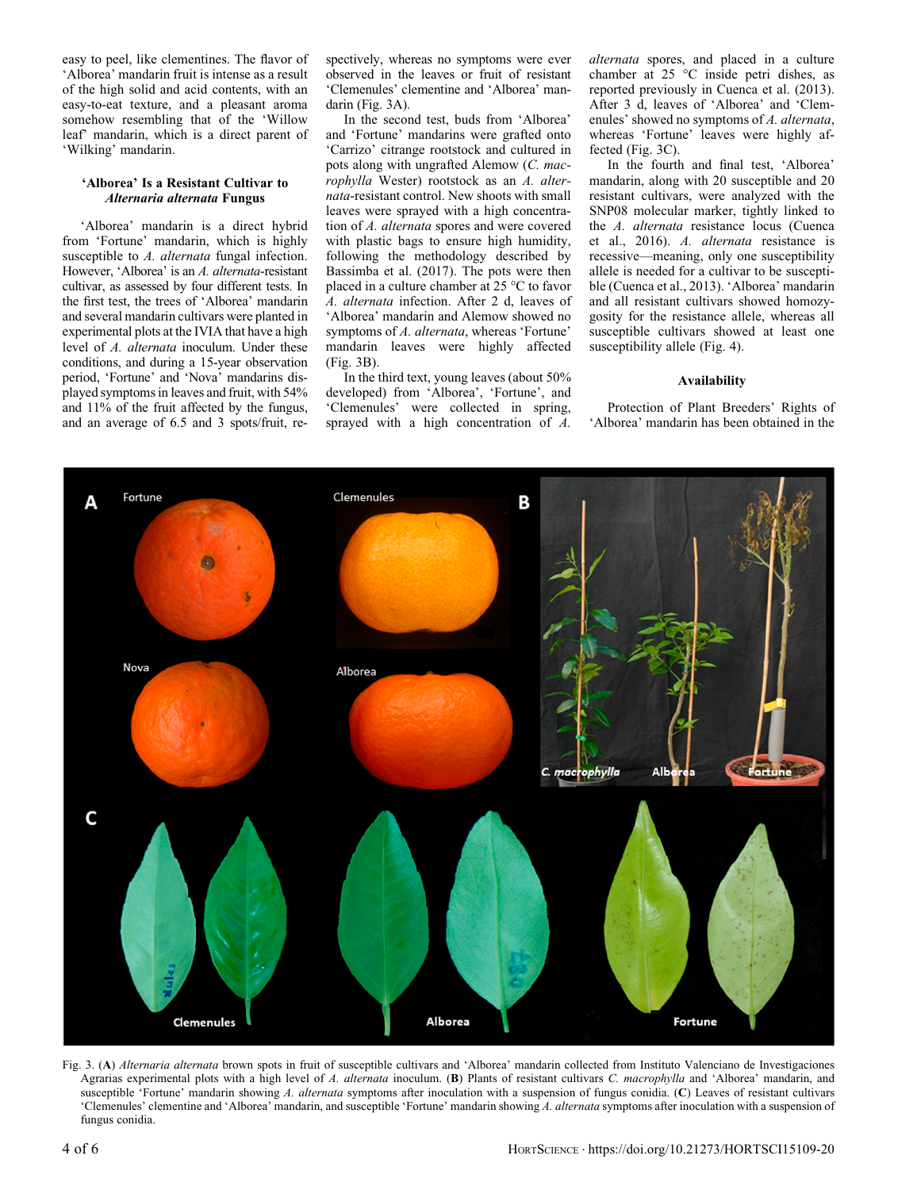easy to peel, like clementines. The flavor of 'Alborea' mandarin fruit is intense as a result of the high solid and acid contents, with an easy-to-eat texture, and a pleasant aroma somehow resembling that of the 'Willow leaf' mandarin, which is a direct parent of 'Wilking' mandarin.

# 'Alborea' Is a Resistant Cultivar to Alternaria alternata Fungus

'Alborea' mandarin is a direct hybrid from 'Fortune' mandarin, which is highly susceptible to A. alternata fungal infection. However, 'Alborea' is an A. alternata-resistant cultivar, as assessed by four different tests. In the first test, the trees of 'Alborea' mandarin and several mandarin cultivars were planted in experimental plots at the IVIA that have a high level of A. alternata inoculum. Under these conditions, and during a 15-year observation period, 'Fortune' and 'Nova' mandarins displayed symptoms in leaves and fruit, with 54% and 11% of the fruit affected by the fungus, and an average of 6.5 and 3 spots/fruit, respectively, whereas no symptoms were ever observed in the leaves or fruit of resistant 'Clemenules' clementine and 'Alborea' mandarin (Fig. 3A).

In the second test, buds from 'Alborea' and 'Fortune' mandarins were grafted onto 'Carrizo' citrange rootstock and cultured in pots along with ungrafted Alemow (C. macrophylla Wester) rootstock as an A. alternata-resistant control. New shoots with small leaves were sprayed with a high concentration of A. alternata spores and were covered with plastic bags to ensure high humidity, following the methodology described by Bassimba et al. (2017). The pots were then placed in a culture chamber at  $25^{\circ}$ C to favor A. alternata infection. After 2 d, leaves of 'Alborea' mandarin and Alemow showed no symptoms of A. alternata, whereas 'Fortune' mandarin leaves were highly affected (Fig. 3B).

In the third text, young leaves (about 50% developed) from 'Alborea', 'Fortune', and 'Clemenules' were collected in spring, sprayed with a high concentration of A. alternata spores, and placed in a culture chamber at  $25$  °C inside petri dishes, as reported previously in Cuenca et al. (2013). After 3 d, leaves of 'Alborea' and 'Clemenules' showed no symptoms of A. alternata, whereas 'Fortune' leaves were highly affected (Fig. 3C).

In the fourth and final test, 'Alborea' mandarin, along with 20 susceptible and 20 resistant cultivars, were analyzed with the SNP08 molecular marker, tightly linked to the A. alternata resistance locus (Cuenca et al., 2016). A. alternata resistance is recessive—meaning, only one susceptibility allele is needed for a cultivar to be susceptible (Cuenca et al., 2013). 'Alborea' mandarin and all resistant cultivars showed homozygosity for the resistance allele, whereas all susceptible cultivars showed at least one susceptibility allele (Fig. 4).

## Availability

Protection of Plant Breeders' Rights of 'Alborea' mandarin has been obtained in the



Fig. 3. (A) Alternaria alternata brown spots in fruit of susceptible cultivars and 'Alborea' mandarin collected from Instituto Valenciano de Investigaciones Agrarias experimental plots with a high level of A. alternata inoculum. (B) Plants of resistant cultivars C. macrophylla and 'Alborea' mandarin, and susceptible 'Fortune' mandarin showing A. alternata symptoms after inoculation with a suspension of fungus conidia. (C) Leaves of resistant cultivars 'Clemenules' clementine and 'Alborea' mandarin, and susceptible 'Fortune' mandarin showing A. alternata symptoms after inoculation with a suspension of fungus conidia.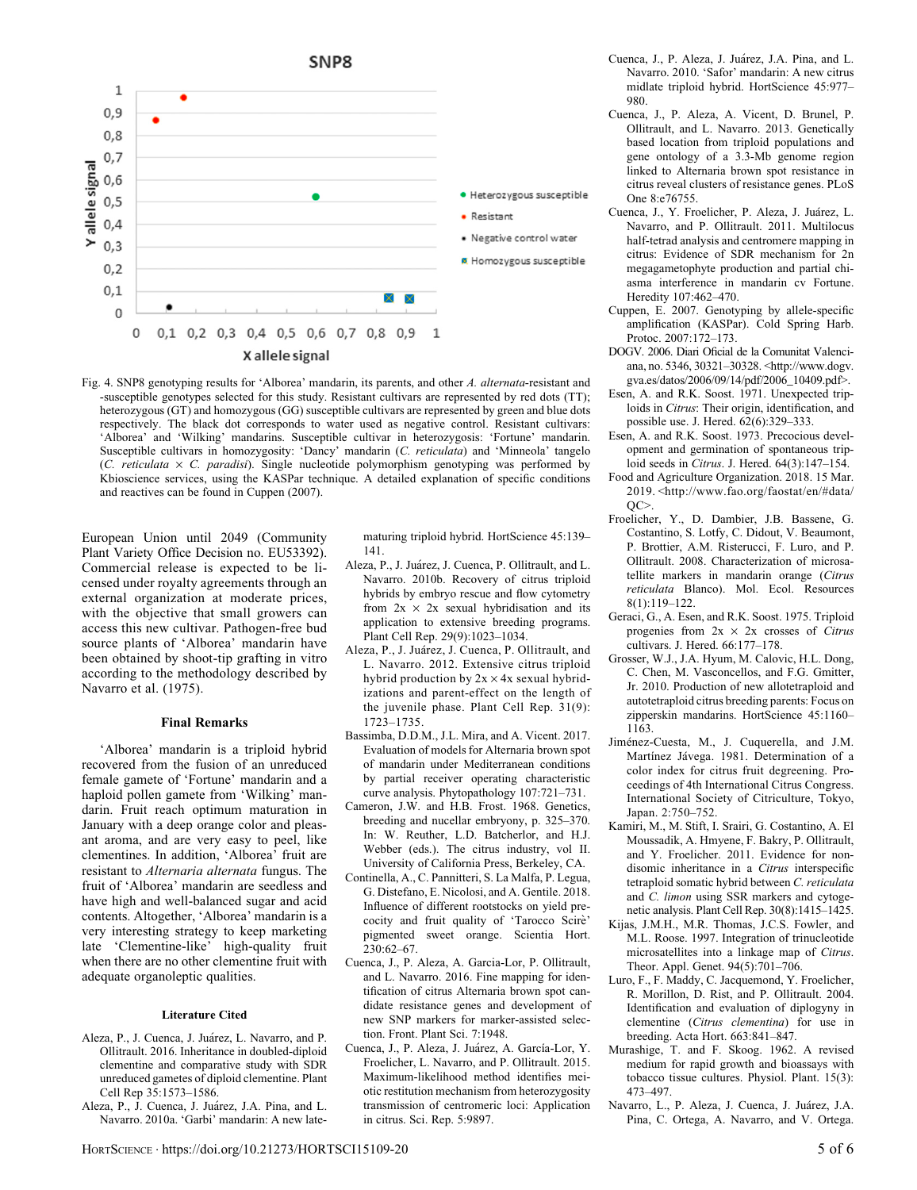

Fig. 4. SNP8 genotyping results for 'Alborea' mandarin, its parents, and other A. alternata-resistant and -susceptible genotypes selected for this study. Resistant cultivars are represented by red dots (TT); heterozygous (GT) and homozygous (GG) susceptible cultivars are represented by green and blue dots respectively. The black dot corresponds to water used as negative control. Resistant cultivars: 'Alborea' and 'Wilking' mandarins. Susceptible cultivar in heterozygosis: 'Fortune' mandarin. Susceptible cultivars in homozygosity: 'Dancy' mandarin (C. reticulata) and 'Minneola' tangelo (C. reticulata  $\times$  C. paradisi). Single nucleotide polymorphism genotyping was performed by Kbioscience services, using the KASPar technique. A detailed explanation of specific conditions and reactives can be found in Cuppen (2007).

European Union until 2049 (Community Plant Variety Office Decision no. EU53392). Commercial release is expected to be licensed under royalty agreements through an external organization at moderate prices, with the objective that small growers can access this new cultivar. Pathogen-free bud source plants of 'Alborea' mandarin have been obtained by shoot-tip grafting in vitro according to the methodology described by Navarro et al. (1975).

## Final Remarks

'Alborea' mandarin is a triploid hybrid recovered from the fusion of an unreduced female gamete of 'Fortune' mandarin and a haploid pollen gamete from 'Wilking' mandarin. Fruit reach optimum maturation in January with a deep orange color and pleasant aroma, and are very easy to peel, like clementines. In addition, 'Alborea' fruit are resistant to Alternaria alternata fungus. The fruit of 'Alborea' mandarin are seedless and have high and well-balanced sugar and acid contents. Altogether, 'Alborea' mandarin is a very interesting strategy to keep marketing late 'Clementine-like' high-quality fruit when there are no other clementine fruit with adequate organoleptic qualities.

### Literature Cited

- Aleza, P., J. Cuenca, J. Juárez, L. Navarro, and P. Ollitrault. 2016. Inheritance in doubled-diploid clementine and comparative study with SDR unreduced gametes of diploid clementine. Plant Cell Rep 35:1573–1586.
- Aleza, P., J. Cuenca, J. Juárez, J.A. Pina, and L. Navarro. 2010a. 'Garbi' mandarin: A new late-

maturing triploid hybrid. HortScience 45:139– 141.

- Aleza, P., J. Juarez, J. Cuenca, P. Ollitrault, and L. Navarro. 2010b. Recovery of citrus triploid hybrids by embryo rescue and flow cytometry from  $2x \times 2x$  sexual hybridisation and its application to extensive breeding programs. Plant Cell Rep. 29(9):1023–1034.
- Aleza, P., J. Juarez, J. Cuenca, P. Ollitrault, and L. Navarro. 2012. Extensive citrus triploid hybrid production by  $2x \times 4x$  sexual hybridizations and parent-effect on the length of the juvenile phase. Plant Cell Rep. 31(9): 1723–1735.
- Bassimba, D.D.M., J.L. Mira, and A. Vicent. 2017. Evaluation of models for Alternaria brown spot of mandarin under Mediterranean conditions by partial receiver operating characteristic curve analysis. Phytopathology 107:721–731.
- Cameron, J.W. and H.B. Frost. 1968. Genetics, breeding and nucellar embryony, p. 325–370. In: W. Reuther, L.D. Batcherlor, and H.J. Webber (eds.). The citrus industry, vol II. University of California Press, Berkeley, CA.
- Continella, A., C. Pannitteri, S. La Malfa, P. Legua, G. Distefano, E. Nicolosi, and A. Gentile. 2018. Influence of different rootstocks on yield precocity and fruit quality of 'Tarocco Scire' pigmented sweet orange. Scientia Hort. 230:62–67.
- Cuenca, J., P. Aleza, A. Garcia-Lor, P. Ollitrault, and L. Navarro. 2016. Fine mapping for identification of citrus Alternaria brown spot candidate resistance genes and development of new SNP markers for marker-assisted selection. Front. Plant Sci. 7:1948.
- Cuenca, J., P. Aleza, J. Juarez, A. García-Lor, Y. Froelicher, L. Navarro, and P. Ollitrault. 2015. Maximum-likelihood method identifies meiotic restitution mechanism from heterozygosity transmission of centromeric loci: Application in citrus. Sci. Rep. 5:9897.
- Cuenca, J., P. Aleza, J. Juarez, J.A. Pina, and L. Navarro. 2010. 'Safor' mandarin: A new citrus midlate triploid hybrid. HortScience 45:977– 980.
- Cuenca, J., P. Aleza, A. Vicent, D. Brunel, P. Ollitrault, and L. Navarro. 2013. Genetically based location from triploid populations and gene ontology of a 3.3-Mb genome region linked to Alternaria brown spot resistance in citrus reveal clusters of resistance genes. PLoS One 8:e76755.
- Cuenca, J., Y. Froelicher, P. Aleza, J. Juarez, L. Navarro, and P. Ollitrault. 2011. Multilocus half-tetrad analysis and centromere mapping in citrus: Evidence of SDR mechanism for 2n megagametophyte production and partial chiasma interference in mandarin cv Fortune. Heredity 107:462–470.
- Cuppen, E. 2007. Genotyping by allele-specific amplification (KASPar). Cold Spring Harb. Protoc. 2007:172–173.
- DOGV. 2006. Diari Oficial de la Comunitat Valenciana, no. 5346, 30321–30328. [<http://www.dogv.](http://www.dogv.gva.es/datos/2006/09/14/pdf/2006_10409.pdf) [gva.es/datos/2006/09/14/pdf/2006\\_10409.pdf](http://www.dogv.gva.es/datos/2006/09/14/pdf/2006_10409.pdf)>.
- Esen, A. and R.K. Soost. 1971. Unexpected triploids in Citrus: Their origin, identification, and possible use. J. Hered. 62(6):329–333.
- Esen, A. and R.K. Soost. 1973. Precocious development and germination of spontaneous triploid seeds in Citrus. J. Hered. 64(3):147–154.
- Food and Agriculture Organization. 2018. 15 Mar. 2019. [<http://www.fao.org/faostat/en/#data/](http://www.fao.org/faostat/en/#data/QC)  $OC >$
- Froelicher, Y., D. Dambier, J.B. Bassene, G. Costantino, S. Lotfy, C. Didout, V. Beaumont, P. Brottier, A.M. Risterucci, F. Luro, and P. Ollitrault. 2008. Characterization of microsatellite markers in mandarin orange (Citrus reticulata Blanco). Mol. Ecol. Resources 8(1):119–122.
- Geraci, G., A. Esen, and R.K. Soost. 1975. Triploid progenies from  $2x \times 2x$  crosses of Citrus cultivars. J. Hered. 66:177–178.
- Grosser, W.J., J.A. Hyum, M. Calovic, H.L. Dong, C. Chen, M. Vasconcellos, and F.G. Gmitter, Jr. 2010. Production of new allotetraploid and autotetraploid citrus breeding parents: Focus on zipperskin mandarins. HortScience 45:1160– 1163.
- Jiménez-Cuesta, M., J. Cuquerella, and J.M. Martínez Jávega. 1981. Determination of a color index for citrus fruit degreening. Proceedings of 4th International Citrus Congress. International Society of Citriculture, Tokyo, Japan. 2:750–752.
- Kamiri, M., M. Stift, I. Srairi, G. Costantino, A. El Moussadik, A. Hmyene, F. Bakry, P. Ollitrault, and Y. Froelicher. 2011. Evidence for nondisomic inheritance in a Citrus interspecific tetraploid somatic hybrid between C. reticulata and C. limon using SSR markers and cytogenetic analysis. Plant Cell Rep. 30(8):1415–1425.
- Kijas, J.M.H., M.R. Thomas, J.C.S. Fowler, and M.L. Roose. 1997. Integration of trinucleotide microsatellites into a linkage map of Citrus. Theor. Appl. Genet. 94(5):701–706.
- Luro, F., F. Maddy, C. Jacquemond, Y. Froelicher, R. Morillon, D. Rist, and P. Ollitrault. 2004. Identification and evaluation of diplogyny in clementine (Citrus clementina) for use in breeding. Acta Hort. 663:841–847.
- Murashige, T. and F. Skoog. 1962. A revised medium for rapid growth and bioassays with tobacco tissue cultures. Physiol. Plant. 15(3): 473–497.
- Navarro, L., P. Aleza, J. Cuenca, J. Juarez, J.A. Pina, C. Ortega, A. Navarro, and V. Ortega.